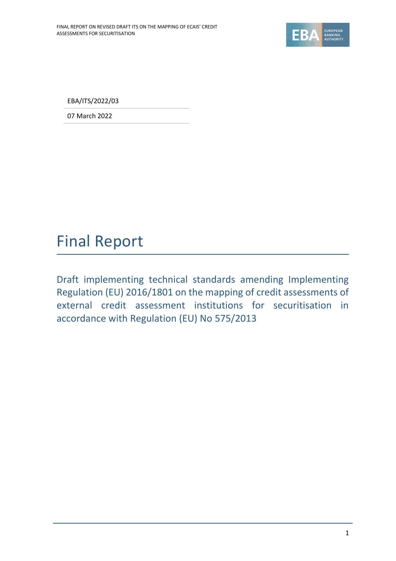

EBA/ITS/2022/03

07 March 2022

# Final Report

Draft implementing technical standards amending Implementing Regulation (EU) 2016/1801 on the mapping of credit assessments of external credit assessment institutions for securitisation in accordance with Regulation (EU) No 575/2013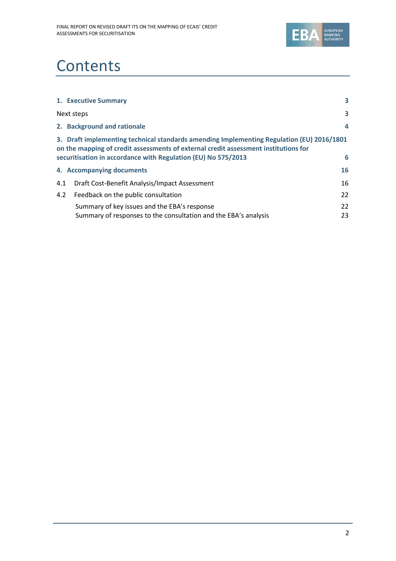

# **Contents**

|     | 1. Executive Summary                                                                                                                                                                                                                              | 3        |
|-----|---------------------------------------------------------------------------------------------------------------------------------------------------------------------------------------------------------------------------------------------------|----------|
|     | Next steps                                                                                                                                                                                                                                        | 3        |
|     | 2. Background and rationale                                                                                                                                                                                                                       | 4        |
|     | 3. Draft implementing technical standards amending Implementing Regulation (EU) 2016/1801<br>on the mapping of credit assessments of external credit assessment institutions for<br>securitisation in accordance with Regulation (EU) No 575/2013 | 6        |
|     | 4. Accompanying documents                                                                                                                                                                                                                         | 16       |
| 4.1 | Draft Cost-Benefit Analysis/Impact Assessment                                                                                                                                                                                                     | 16       |
| 4.2 | Feedback on the public consultation                                                                                                                                                                                                               | 22       |
|     | Summary of key issues and the EBA's response<br>Summary of responses to the consultation and the EBA's analysis                                                                                                                                   | 22<br>23 |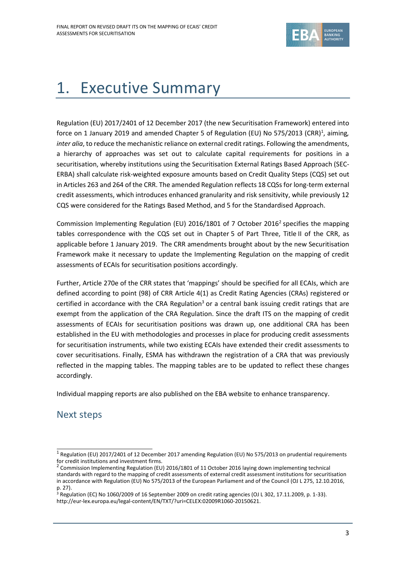

# 1. Executive Summary

Regulation (EU) 2017/2401 of 12 December 2017 (the new Securitisation Framework) entered into force on 1 January 2019 and amended Chapter 5 of Regulation (EU) No 575/2013 (CRR)<sup>1</sup>, aiming, *inter alia*, to reduce the mechanistic reliance on external credit ratings. Following the amendments, a hierarchy of approaches was set out to calculate capital requirements for positions in a securitisation, whereby institutions using the Securitisation External Ratings Based Approach (SEC-ERBA) shall calculate risk-weighted exposure amounts based on Credit Quality Steps (CQS) set out in Articles 263 and 264 of the CRR. The amended Regulation reflects 18 CQSs for long-term external credit assessments, which introduces enhanced granularity and risk sensitivity, while previously 12 CQS were considered for the Ratings Based Method, and 5 for the Standardised Approach.

Commission Implementing Regulation (EU) 2016/1801 of 7 October 2016<sup>2</sup> specifies the mapping tables correspondence with the CQS set out in Chapter 5 of Part Three, Title II of the CRR, as applicable before 1 January 2019. The CRR amendments brought about by the new Securitisation Framework make it necessary to update the Implementing Regulation on the mapping of credit assessments of ECAIs for securitisation positions accordingly.

Further, Article 270e of the CRR states that 'mappings' should be specified for all ECAIs, which are defined according to point (98) of CRR Article 4(1) as Credit Rating Agencies (CRAs) registered or certified in accordance with the CRA Regulation<sup>3</sup> or a central bank issuing credit ratings that are exempt from the application of the CRA Regulation. Since the draft ITS on the mapping of credit assessments of ECAIs for securitisation positions was drawn up, one additional CRA has been established in the EU with methodologies and processes in place for producing credit assessments for securitisation instruments, while two existing ECAIs have extended their credit assessments to cover securitisations. Finally, ESMA has withdrawn the registration of a CRA that was previously reflected in the mapping tables. The mapping tables are to be updated to reflect these changes accordingly.

Individual mapping reports are also published on the EBA website to enhance transparency.

# Next steps

<sup>&</sup>lt;sup>1</sup> Regulation (EU) 2017/2401 of 12 December 2017 amending Regulation (EU) No 575/2013 on prudential requirements for credit institutions and investment firms.<br><sup>2</sup> Commission Implementing Regulation (EU) 2016/1801 of 11 October 2016 laying down implementing technical

standards with regard to the mapping of credit assessments of external credit assessment institutions for securitisation in accordance with Regulation (EU) No 575/2013 of the European Parliament and of the Council (OJ L 275, 12.10.2016, p. 27).

<sup>&</sup>lt;sup>3</sup> Regulation (EC) No 1060/2009 of 16 September 2009 on credit rating agencies (OJ L 302, 17.11.2009, p. 1-33). [http://eur-lex.europa.eu/legal-content/EN/TXT/?uri=CELEX:02009R1060-20150621.](http://eur-lex.europa.eu/legal-content/EN/TXT/?uri=CELEX:02009R1060-20150621)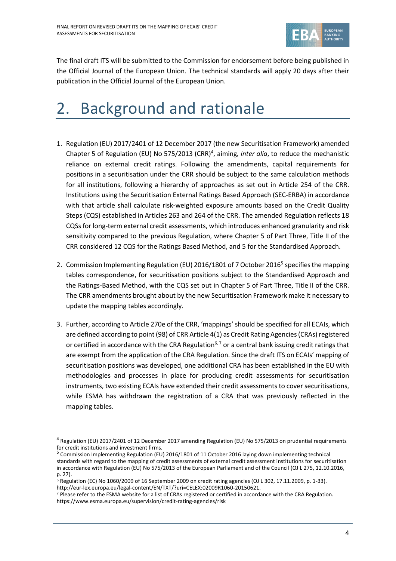

The final draft ITS will be submitted to the Commission for endorsement before being published in the Official Journal of the European Union. The technical standards will apply 20 days after their publication in the Official Journal of the European Union.

# 2. Background and rationale

- 1. Regulation (EU) 2017/2401 of 12 December 2017 (the new Securitisation Framework) amended Chapter 5 of Regulation (EU) No 575/2013 (CRR)<sup>4</sup>, aiming, *inter alia*, to reduce the mechanistic reliance on external credit ratings. Following the amendments, capital requirements for positions in a securitisation under the CRR should be subject to the same calculation methods for all institutions, following a hierarchy of approaches as set out in Article 254 of the CRR. Institutions using the Securitisation External Ratings Based Approach (SEC-ERBA) in accordance with that article shall calculate risk-weighted exposure amounts based on the Credit Quality Steps (CQS) established in Articles 263 and 264 of the CRR. The amended Regulation reflects 18 CQSs for long-term external credit assessments, which introduces enhanced granularity and risk sensitivity compared to the previous Regulation, where Chapter 5 of Part Three, Title II of the CRR considered 12 CQS for the Ratings Based Method, and 5 for the Standardised Approach.
- 2. Commission Implementing Regulation (EU) 2016/1801 of 7 October 2016<sup>5</sup> specifies the mapping tables correspondence, for securitisation positions subject to the Standardised Approach and the Ratings-Based Method, with the CQS set out in Chapter 5 of Part Three, Title II of the CRR. The CRR amendments brought about by the new Securitisation Framework make it necessary to update the mapping tables accordingly.
- 3. Further, according to Article 270e of the CRR, 'mappings' should be specified for all ECAIs, which are defined according to point (98) of CRR Article 4(1) as Credit Rating Agencies (CRAs) registered or certified in accordance with the CRA Regulation<sup>6, 7</sup> or a central bank issuing credit ratings that are exempt from the application of the CRA Regulation. Since the draft ITS on ECAIs' mapping of securitisation positions was developed, one additional CRA has been established in the EU with methodologies and processes in place for producing credit assessments for securitisation instruments, two existing ECAIs have extended their credit assessments to cover securitisations, while ESMA has withdrawn the registration of a CRA that was previously reflected in the mapping tables.

<sup>&</sup>lt;sup>4</sup> Regulation (EU) 2017/2401 of 12 December 2017 amending Regulation (EU) No 575/2013 on prudential requirements for credit institutions and investment firms.

<sup>&</sup>lt;sup>5</sup> Commission Implementing Regulation (EU) 2016/1801 of 11 October 2016 laying down implementing technical standards with regard to the mapping of credit assessments of external credit assessment institutions for securitisation in accordance with Regulation (EU) No 575/2013 of the European Parliament and of the Council (OJ L 275, 12.10.2016, p. 27).

 $6$  Regulation (EC) No 1060/2009 of 16 September 2009 on credit rating agencies (OJ L 302, 17.11.2009, p. 1-33). [http://eur-lex.europa.eu/legal-content/EN/TXT/?uri=CELEX:02009R1060-20150621.](http://eur-lex.europa.eu/legal-content/EN/TXT/?uri=CELEX:02009R1060-20150621) 

<sup>7</sup> Please refer to the ESMA website for a list of CRAs registered or certified in accordance with the CRA Regulation. <https://www.esma.europa.eu/supervision/credit-rating-agencies/risk>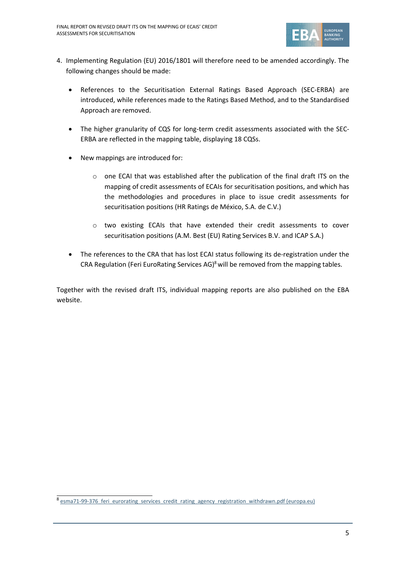

- 4. Implementing Regulation (EU) 2016/1801 will therefore need to be amended accordingly. The following changes should be made:
	- References to the Securitisation External Ratings Based Approach (SEC-ERBA) are introduced, while references made to the Ratings Based Method, and to the Standardised Approach are removed.
	- The higher granularity of CQS for long-term credit assessments associated with the SEC-ERBA are reflected in the mapping table, displaying 18 CQSs.
	- New mappings are introduced for:
		- $\circ$  one ECAI that was established after the publication of the final draft ITS on the mapping of credit assessments of ECAIs for securitisation positions, and which has the methodologies and procedures in place to issue credit assessments for securitisation positions (HR Ratings de México, S.A. de C.V.)
		- o two existing ECAIs that have extended their credit assessments to cover securitisation positions (A.M. Best (EU) Rating Services B.V. and ICAP S.A.)
	- The references to the CRA that has lost ECAI status following its de-registration under the CRA Regulation (Feri EuroRating Services AG)<sup>8</sup> will be removed from the mapping tables.

Together with the revised draft ITS, individual mapping reports are also published on the EBA website.

<sup>8</sup> esma71-99-376 feri eurorating services credit rating agency registration withdrawn.pdf (europa.eu)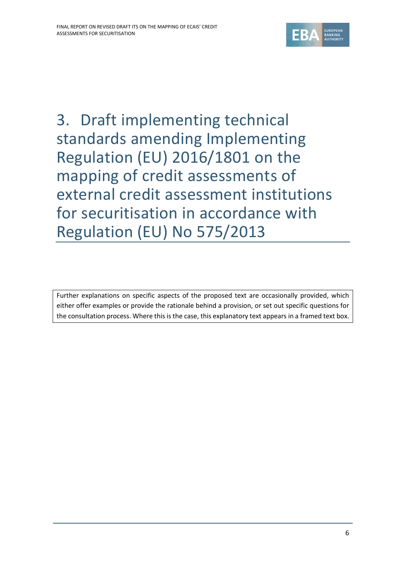

3. Draft implementing technical standards amending Implementing Regulation (EU) 2016/1801 on the mapping of credit assessments of external credit assessment institutions for securitisation in accordance with Regulation (EU) No 575/2013

Further explanations on specific aspects of the proposed text are occasionally provided, which either offer examples or provide the rationale behind a provision, or set out specific questions for the consultation process. Where this is the case, this explanatory text appears in a framed text box.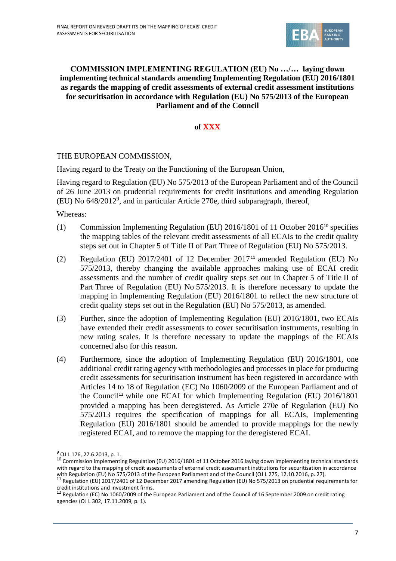

## **COMMISSION IMPLEMENTING REGULATION (EU) No …/… laying down implementing technical standards amending Implementing Regulation (EU) 2016/1801 as regards the mapping of credit assessments of external credit assessment institutions for securitisation in accordance with Regulation (EU) No 575/2013 of the European Parliament and of the Council**

## **of XXX**

### THE EUROPEAN COMMISSION,

Having regard to the Treaty on the Functioning of the European Union,

Having regard to Regulation (EU) No 575/2013 of the European Parliament and of the Council of 26 June 2013 on prudential requirements for credit institutions and amending Regulation (EU) No 648/2012<sup>9</sup> , and in particular Article 270e, third subparagraph, thereof,

Whereas:

- (1) Commission Implementing Regulation (EU) 2016/1801 of 11 October 2016<sup>10</sup> specifies the mapping tables of the relevant credit assessments of all ECAIs to the credit quality steps set out in Chapter 5 of Title II of Part Three of Regulation (EU) No 575/2013.
- (2) Regulation (EU)  $2017/2401$  of 12 December  $2017<sup>11</sup>$  amended Regulation (EU) No 575/2013, thereby changing the available approaches making use of ECAI credit assessments and the number of credit quality steps set out in Chapter 5 of Title II of Part Three of Regulation (EU) No 575/2013. It is therefore necessary to update the mapping in Implementing Regulation (EU) 2016/1801 to reflect the new structure of credit quality steps set out in the Regulation (EU) No 575/2013, as amended.
- (3) Further, since the adoption of Implementing Regulation (EU) 2016/1801, two ECAIs have extended their credit assessments to cover securitisation instruments, resulting in new rating scales. It is therefore necessary to update the mappings of the ECAIs concerned also for this reason.
- (4) Furthermore, since the adoption of Implementing Regulation (EU) 2016/1801, one additional credit rating agency with methodologies and processes in place for producing credit assessments for securitisation instrument has been registered in accordance with Articles 14 to 18 of Regulation (EC) No 1060/2009 of the European Parliament and of the Council<sup>12</sup> while one ECAI for which Implementing Regulation (EU)  $2016/1801$ provided a mapping has been deregistered. As Article 270e of Regulation (EU) No 575/2013 requires the specification of mappings for all ECAIs, Implementing Regulation (EU) 2016/1801 should be amended to provide mappings for the newly registered ECAI, and to remove the mapping for the deregistered ECAI.

<sup>9</sup> OJ L 176, 27.6.2013, p. 1.

<sup>&</sup>lt;sup>10</sup> Commission Implementing Regulation (EU) 2016/1801 of 11 October 2016 laying down implementing technical standards with regard to the mapping of credit assessments of external credit assessment institutions for securitisation in accordance with Regulation (EU) No 575/2013 of the European Parliament and of the Council (OJ L 275, 12.10.2016, p. 27).<br><sup>11</sup> Regulation (EU) 2017/2401 of 12 December 2017 amending Regulation (EU) No 575/2013 on prudential requiremen

credit institutions and investment firms.<br><sup>12</sup> Regulation (EC) No 1060/2009 of the European Parliament and of the Council of 16 September 2009 on credit rating agencies (OJ L 302, 17.11.2009, p. 1).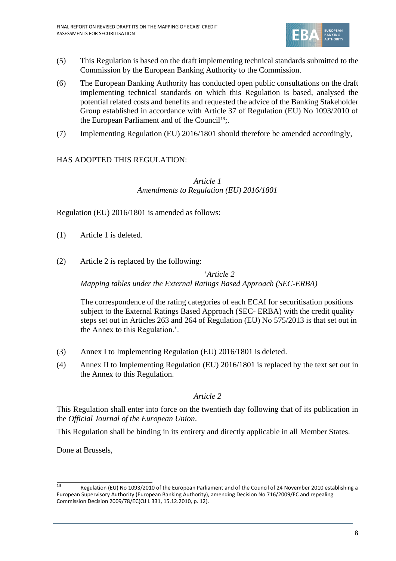

- (5) This Regulation is based on the draft implementing technical standards submitted to the Commission by the European Banking Authority to the Commission.
- (6) The European Banking Authority has conducted open public consultations on the draft implementing technical standards on which this Regulation is based, analysed the potential related costs and benefits and requested the advice of the Banking Stakeholder Group established in accordance with Article 37 of Regulation (EU) No 1093/2010 of the European Parliament and of the Council<sup>13</sup>;.
- (7) Implementing Regulation (EU) 2016/1801 should therefore be amended accordingly,

# HAS ADOPTED THIS REGULATION:

## *Article 1 Amendments to Regulation (EU) 2016/1801*

Regulation (EU) 2016/1801 is amended as follows:

- (1) Article 1 is deleted.
- (2) Article 2 is replaced by the following:

'*Article 2 Mapping tables under the External Ratings Based Approach (SEC-ERBA)*

The correspondence of the rating categories of each ECAI for securitisation positions subject to the External Ratings Based Approach (SEC- ERBA) with the credit quality steps set out in Articles 263 and 264 of Regulation (EU) No 575/2013 is that set out in the Annex to this Regulation.'.

- (3) Annex I to Implementing Regulation (EU) 2016/1801 is deleted.
- (4) Annex II to Implementing Regulation (EU) 2016/1801 is replaced by the text set out in the Annex to this Regulation.

#### *Article 2*

This Regulation shall enter into force on the twentieth day following that of its publication in the *Official Journal of the European Union*.

This Regulation shall be binding in its entirety and directly applicable in all Member States.

Done at Brussels,

Regulation (EU) No 1093/2010 of the European Parliament and of the Council of 24 November 2010 establishing a European Supervisory Authority (European Banking Authority), amending Decision No 716/2009/EC and repealing Commission Decision 2009/78/EC(OJ L 331, 15.12.2010, p. 12).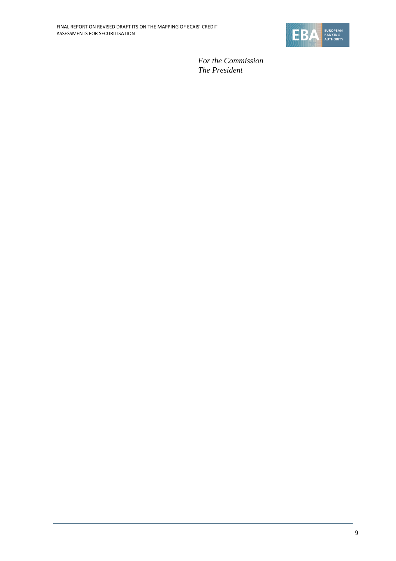

*For the Commission The President*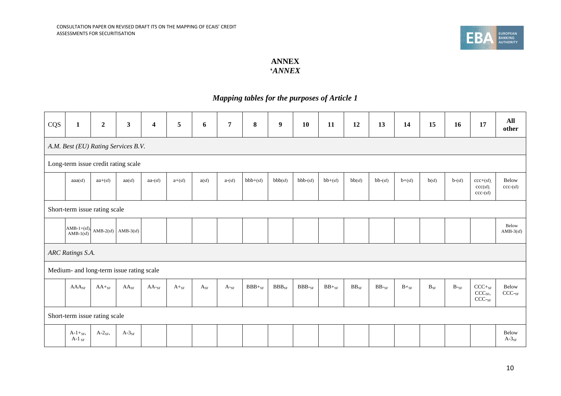

## **ANNEX '***ANNEX*

# *Mapping tables for the purposes of Article 1*

| CQS | $\mathbf{1}$                  | $\boldsymbol{2}$ | $\mathbf{3}$                             | $\boldsymbol{4}$ | 5         | 6        | $\overline{7}$  | $\bf{8}$    | $\boldsymbol{9}$    | 10           | 11              | 12        | 13          | 14        | 15                    | 16               | 17                                                  | All<br>other               |
|-----|-------------------------------|------------------|------------------------------------------|------------------|-----------|----------|-----------------|-------------|---------------------|--------------|-----------------|-----------|-------------|-----------|-----------------------|------------------|-----------------------------------------------------|----------------------------|
|     |                               |                  | A.M. Best (EU) Rating Services B.V.      |                  |           |          |                 |             |                     |              |                 |           |             |           |                       |                  |                                                     |                            |
|     |                               |                  | Long-term issue credit rating scale      |                  |           |          |                 |             |                     |              |                 |           |             |           |                       |                  |                                                     |                            |
|     | aaa(sf)                       | $aa+(sf)$        | aa(sf)                                   | $aa-(sf)$        | $a+(sf)$  | a(sf)    | $a-(sf)$        | $bbb+(sf)$  | bbb(sf)             | $bbb-(sf)$   | $bb+(sf)$       | bb(sf)    | $bb-(sf)$   | $b+(sf)$  | b(sf)                 | $b-(sf)$         | $ccc+(sf)$ .<br>ccc(sf)<br>$ccc$ -(sf)              | Below<br>$ccc$ -(sf)       |
|     | Short-term issue rating scale |                  |                                          |                  |           |          |                 |             |                     |              |                 |           |             |           |                       |                  |                                                     |                            |
|     | $AMB-1+(sf),$<br>AMB-1(sf)    |                  | $AMB-2(sf)$ $AMB-3(sf)$                  |                  |           |          |                 |             |                     |              |                 |           |             |           |                       |                  |                                                     | Below<br>$AMB-3(sf)$       |
|     | ARC Ratings S.A.              |                  |                                          |                  |           |          |                 |             |                     |              |                 |           |             |           |                       |                  |                                                     |                            |
|     |                               |                  | Medium- and long-term issue rating scale |                  |           |          |                 |             |                     |              |                 |           |             |           |                       |                  |                                                     |                            |
|     | $AAA_{SF}$                    | $AA+_{SF}$       | $AA_{SF}$                                | $AA$ -sf         | $A+_{SF}$ | $A_{SF}$ | $A_{\text{S}F}$ | $BBB+_{SF}$ | $\rm{BBB}_{\rm SF}$ | $BBB$ - $SF$ | $\rm BB +_{SF}$ | $BB_{SF}$ | $BB$ - $SF$ | $B+_{SF}$ | $\mathbf{B}_{\rm SF}$ | $B_{\text{-SF}}$ | $CCC+_{SF}$<br>CCC <sub>SF</sub><br>$\text{CCC-sr}$ | Below<br>CCC <sub>SF</sub> |
|     | Short-term issue rating scale |                  |                                          |                  |           |          |                 |             |                     |              |                 |           |             |           |                       |                  |                                                     |                            |
|     | $A-1+_{SF}$ ,<br>A-1 $_{SF}$  | $A-2_{SF}$       | $A-3_{SF}$                               |                  |           |          |                 |             |                     |              |                 |           |             |           |                       |                  |                                                     | Below<br>$A-3_{SF}$        |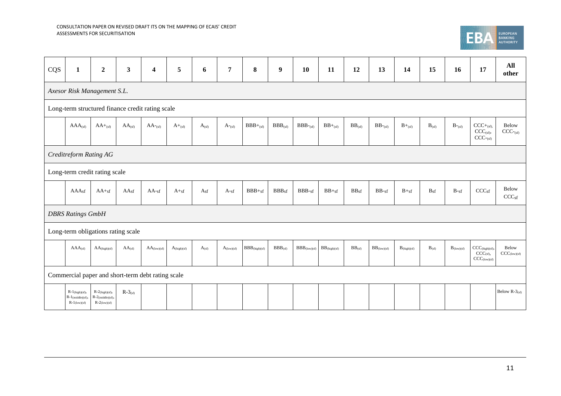

| CQS | $\mathbf{1}$                                               | $\boldsymbol{2}$                                                         | $\mathbf{3}$                       | $\overline{\mathbf{4}}$                           | 5                | 6            | 7                      | 8                  | $\boldsymbol{9}$  | 10                    | 11                       | 12               | 13                    | 14                      | 15         | 16                     | 17                                                             | All<br>other                      |
|-----|------------------------------------------------------------|--------------------------------------------------------------------------|------------------------------------|---------------------------------------------------|------------------|--------------|------------------------|--------------------|-------------------|-----------------------|--------------------------|------------------|-----------------------|-------------------------|------------|------------------------|----------------------------------------------------------------|-----------------------------------|
|     | Axesor Risk Management S.L.                                |                                                                          |                                    |                                                   |                  |              |                        |                    |                   |                       |                          |                  |                       |                         |            |                        |                                                                |                                   |
|     | Long-term structured finance credit rating scale           |                                                                          |                                    |                                                   |                  |              |                        |                    |                   |                       |                          |                  |                       |                         |            |                        |                                                                |                                   |
|     | $AAA$ <sub>(sf)</sub>                                      | $AA +_{(sf)}$                                                            | $AA$ <sub>(sf)</sub>               | $AA$ <sup>-(sf)</sup>                             | $A+_{(sf)}$      | $A_{(sf)}$   | $A_{\text{-}(sf)}$     | $BBB+_{(sf)}$      | $BBB_{(sf)}$      | $BBB$ -(sf)           | $BB+_{(sf)}$             | $BB_{(sf)}$      | $BB$ <sup>-(sf)</sup> | $B +_{(sf)}$            | $B_{(sf)}$ | $B$ -(sf)              | $CCC+_{(sf)}$<br>$CCC_{(sf)}$ ,<br>$CCC-(sf)$                  | Below<br>$CCC_{\text{csf}}$       |
|     | Creditreform Rating AG                                     |                                                                          |                                    |                                                   |                  |              |                        |                    |                   |                       |                          |                  |                       |                         |            |                        |                                                                |                                   |
|     | Long-term credit rating scale                              |                                                                          |                                    |                                                   |                  |              |                        |                    |                   |                       |                          |                  |                       |                         |            |                        |                                                                |                                   |
|     | AAA <sub>sf</sub>                                          | $AA +sf$                                                                 | AA <sub>sf</sub>                   | $AA$ -sf                                          | $A+_{sf}$        | $A_{\rm sf}$ | $A-sf$                 | $BBB +sf$          | BBB <sub>sf</sub> | $BBB-sf$              | $BB +sf$                 | BB <sub>sf</sub> | $BB-sf$               | $B +sf$                 | $B_{sf}$   | $B-sf$                 | CCC <sub>sf</sub>                                              | Below<br>CCC <sub>sf</sub>        |
|     | <b>DBRS Ratings GmbH</b>                                   |                                                                          |                                    |                                                   |                  |              |                        |                    |                   |                       |                          |                  |                       |                         |            |                        |                                                                |                                   |
|     |                                                            |                                                                          | Long-term obligations rating scale |                                                   |                  |              |                        |                    |                   |                       |                          |                  |                       |                         |            |                        |                                                                |                                   |
|     | $AAA$ (sf)                                                 | $AA_{(high)(sf)}$                                                        | $AA$ (sf)                          | $AA_{(low)(sf)}$                                  | $A_{(high)(sf)}$ | $A_{(sf)}$   | $A_{\text{(low)(sf)}}$ | $BBB_{(high)(sf)}$ | $BBB_{(sf)}$      | $BBB_{\rm (low)(sf)}$ | $BB_{\text{(high)(sf)}}$ | BB(sf)           | $BB_{\rm (low)(sf)}$  | $B_{\text{(high)(sf)}}$ | $B_{(sf)}$ | $B_{\text{(low)(sf)}}$ | $CCC(high)(sf)$ ,<br>$CCC_{(sf)},$<br>$CCC_{\text{(low)(sf)}}$ | Below<br>$CCC_{\text{(low)(sf)}}$ |
|     |                                                            |                                                                          |                                    | Commercial paper and short-term debt rating scale |                  |              |                        |                    |                   |                       |                          |                  |                       |                         |            |                        |                                                                |                                   |
|     | $R-1$ (high)(sf),<br>$R-1$ (middle)(sf)<br>$R-1$ (low)(sf) | $R-2$ (high)(sf),<br>$R-2$ (middle)(sf),<br>$R\text{-}2\text{(low)(sf)}$ | $R-3$ <sub>(sf)</sub>              |                                                   |                  |              |                        |                    |                   |                       |                          |                  |                       |                         |            |                        |                                                                | Below $R-3_{(sf)}$                |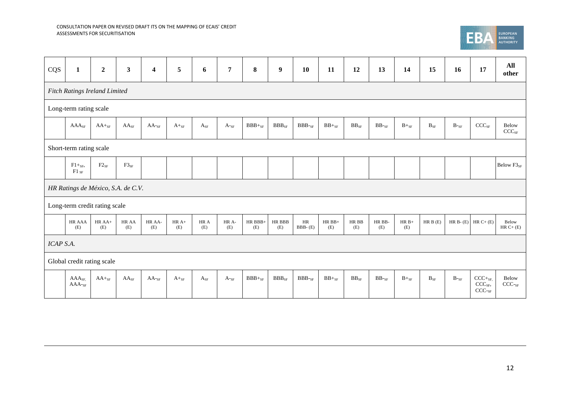

| CQS       | $\mathbf{1}$                       | $\mathbf 2$       | $\mathbf{3}$ | $\overline{\mathbf{4}}$ | 5              | 6           | $\overline{7}$  | 8               | $\boldsymbol{9}$     | 10                       | 11              | 12            | 13                 | 14             | 15                       | 16      | 17                                                    | All<br>other               |
|-----------|------------------------------------|-------------------|--------------|-------------------------|----------------|-------------|-----------------|-----------------|----------------------|--------------------------|-----------------|---------------|--------------------|----------------|--------------------------|---------|-------------------------------------------------------|----------------------------|
|           | Fitch Ratings Ireland Limited      |                   |              |                         |                |             |                 |                 |                      |                          |                 |               |                    |                |                          |         |                                                       |                            |
|           | Long-term rating scale             |                   |              |                         |                |             |                 |                 |                      |                          |                 |               |                    |                |                          |         |                                                       |                            |
|           | AAA <sub>SF</sub>                  | $AA+_{SF}$        | $AA_{SF}$    | $AA$ -sf                | $A+_{SF}$      | $A_{SF}$    | $A$ -sf         | $BBB+_{SF}$     | $BBB_{SF}$           | $BBB$ -sf                | $BB +_{SF}$     | $BB_{SF}$     | $BB$ -sf           | $B+_{SF}$      | $\mathbf{B}_{\text{SF}}$ | $B$ -sf | $\text{CCC}_{\text{SF}}$                              | Below<br>$CCC_{SF}$        |
|           | Short-term rating scale            |                   |              |                         |                |             |                 |                 |                      |                          |                 |               |                    |                |                          |         |                                                       |                            |
|           | $F1+_{SF}$<br>${\rm F1 \; sF}$     | $F2_{SF}$         | $F3_{SF}$    |                         |                |             |                 |                 |                      |                          |                 |               |                    |                |                          |         |                                                       | Below F3 <sub>SF</sub>     |
|           | HR Ratings de México, S.A. de C.V. |                   |              |                         |                |             |                 |                 |                      |                          |                 |               |                    |                |                          |         |                                                       |                            |
|           | Long-term credit rating scale      |                   |              |                         |                |             |                 |                 |                      |                          |                 |               |                    |                |                          |         |                                                       |                            |
|           | HR AAA<br>(E)                      | $HR$ $AA+$<br>(E) | HR AA<br>(E) | HR AA-<br>(E)           | $HR A+$<br>(E) | HR A<br>(E) | HR A-<br>(E)    | HR BBB-<br>(E)  | <b>HR BBB</b><br>(E) | $\rm{HR}$<br>$BBB - (E)$ | $HR$ BB+<br>(E) | HR BB<br>(E)  | HR BB-<br>(E)      | $HR B+$<br>(E) | HR B(E)                  |         | HR B- $(E)$ HR C+ $(E)$                               | Below<br>$HR C+ (E)$       |
| ICAP S.A. |                                    |                   |              |                         |                |             |                 |                 |                      |                          |                 |               |                    |                |                          |         |                                                       |                            |
|           | Global credit rating scale         |                   |              |                         |                |             |                 |                 |                      |                          |                 |               |                    |                |                          |         |                                                       |                            |
|           | $AAA_{SF}$<br>$AAA$ - $SF$         | $AA+_{SF}$        | $AA_{SF}$    | $AA$ - $SF$             | $A+_{SF}$      | $A_{SF}$    | $A_{\text{S}F}$ | $\rm BBB+_{SF}$ | $\rm{BBB}_{\rm SF}$  | $BBB$ - $SF$             | $\rm BB +_{SF}$ | $\rm BB_{SF}$ | $\rm BB\text{-}sr$ | $B+_{SF}$      | $\mathbf{B}_{\text{SF}}$ | $B$ -sf | $CCC+_{SF}$<br>CCC <sub>SF</sub><br>CCC <sub>SF</sub> | Below<br>CCC <sub>SF</sub> |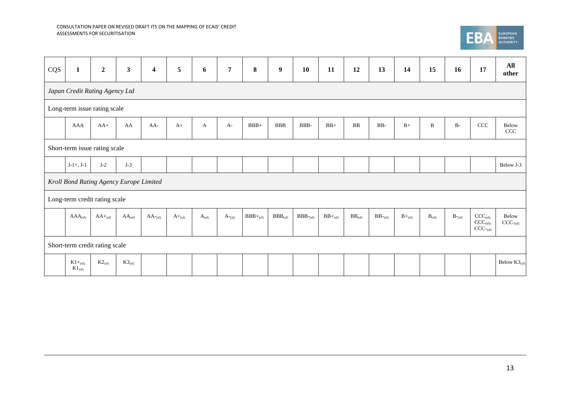

| CQS | $\mathbf{1}$                   | $\boldsymbol{2}$ | $\overline{\mathbf{3}}$                 | $\overline{\mathbf{4}}$ | 5           | 6          | $\overline{7}$     | $\bf{8}$      | $\boldsymbol{9}$ | 10           | 11           | 12          | 13                    | 14            | 15           | 16                 | 17                                                          | All<br>other                                |
|-----|--------------------------------|------------------|-----------------------------------------|-------------------------|-------------|------------|--------------------|---------------|------------------|--------------|--------------|-------------|-----------------------|---------------|--------------|--------------------|-------------------------------------------------------------|---------------------------------------------|
|     | Japan Credit Rating Agency Ltd |                  |                                         |                         |             |            |                    |               |                  |              |              |             |                       |               |              |                    |                                                             |                                             |
|     | Long-term issue rating scale   |                  |                                         |                         |             |            |                    |               |                  |              |              |             |                       |               |              |                    |                                                             |                                             |
|     | AAA                            | $AA+$            | AA                                      | $AA-$                   | $A+$        | A          | $A-$               | $BBB+$        | BBB              | BBB-         | $BB+$        | ${\bf BB}$  | $_{\rm BB}$ .         | $\mathbf{B}+$ | $\, {\bf B}$ | $B-$               | $\ensuremath{\textup{CCC}}\xspace$                          | Below<br>$\ensuremath{\textup{CCC}}\xspace$ |
|     | Short-term issue rating scale  |                  |                                         |                         |             |            |                    |               |                  |              |              |             |                       |               |              |                    |                                                             |                                             |
|     | $J-1+, J-1$                    | $J-2$            | $J-3$                                   |                         |             |            |                    |               |                  |              |              |             |                       |               |              |                    |                                                             | Below J-3                                   |
|     |                                |                  | Kroll Bond Rating Agency Europe Limited |                         |             |            |                    |               |                  |              |              |             |                       |               |              |                    |                                                             |                                             |
|     | Long-term credit rating scale  |                  |                                         |                         |             |            |                    |               |                  |              |              |             |                       |               |              |                    |                                                             |                                             |
|     | $AAA_{(sf)}$                   | $AA+_{(sf)}$     | $AA_{(sf)}$                             | $AA$ -(sf)              | $A+_{(sf)}$ | $A_{(sf)}$ | $A_{\text{r}}(sf)$ | $BBB+_{(sf)}$ | $BBB_{(sf)}$     | $BBB_{(sf)}$ | $BB+_{(sf)}$ | $BB_{(sf)}$ | $BB$ <sup>-(sf)</sup> | $B+_{(sf)}$   | $B_{(sf)}$   | $B_{\sim\rm (sf)}$ | $\text{CCC}_{(\text{sf}),}$<br>$CCC_{(sf)}$<br>$CCC_{(sf)}$ | Below<br>$CCC_{\neg(\text{sf})}$            |
|     | Short-term credit rating scale |                  |                                         |                         |             |            |                    |               |                  |              |              |             |                       |               |              |                    |                                                             |                                             |
|     | $K1+_{(sf)}$<br>$K1_{(sf)}$    | $K2_{(sf)}$      | $K3_{(sf)}$                             |                         |             |            |                    |               |                  |              |              |             |                       |               |              |                    |                                                             | Below $K3_{(sf)}$                           |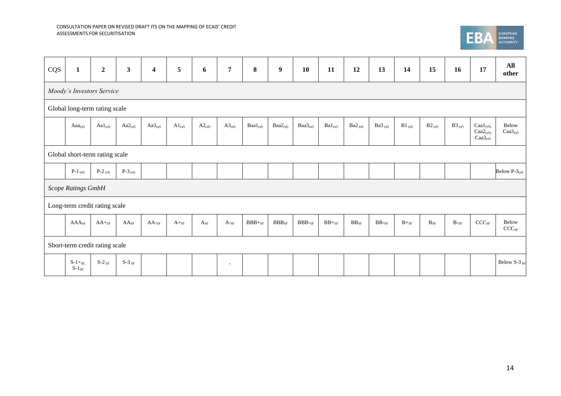

| CQS | $\mathbf{1}$              | $\boldsymbol{2}$               | $\mathbf{3}$  | $\overline{\mathbf{4}}$ | 5           | 6           | $\overline{7}$ | $\bf{8}$      | $\boldsymbol{9}$    | 10                            | 11           | 12                                   | 13                 | 14            | 15                       | 16          | 17                                                                                   | All<br>other                          |
|-----|---------------------------|--------------------------------|---------------|-------------------------|-------------|-------------|----------------|---------------|---------------------|-------------------------------|--------------|--------------------------------------|--------------------|---------------|--------------------------|-------------|--------------------------------------------------------------------------------------|---------------------------------------|
|     |                           | Moody's Investors Service      |               |                         |             |             |                |               |                     |                               |              |                                      |                    |               |                          |             |                                                                                      |                                       |
|     |                           | Global long-term rating scale  |               |                         |             |             |                |               |                     |                               |              |                                      |                    |               |                          |             |                                                                                      |                                       |
|     | Aa $a_{(sf)}$             | $Aal_{(sf)}$                   | $Aa2_{(sf)}$  | $Aa3_{(sf)}$            | $A1_{(sf)}$ | $A2_{(sf)}$ | $A3_{(sf)}$    | $Baal_{(sf)}$ | $Baa2_{(sf)}$       | $Baa3_{(sf)}$                 | $Ba1_{(sf)}$ | Ba2 $_{(sf)}$                        | Ba $3_{(sf)}$      | $B1_{(sf)}$   | $B2_{(sf)}$              | $B3_{(sf)}$ | $\text{Caal}_{\text{(sf)}},$<br>$\text{Caa2}_{\text{(sf)}},$<br>Caa3 <sub>(sf)</sub> | Below<br>$\text{Caa3}_{\text{(sf)}}$  |
|     |                           | Global short-term rating scale |               |                         |             |             |                |               |                     |                               |              |                                      |                    |               |                          |             |                                                                                      |                                       |
|     | P-1 $_{\rm (sf)}$         | P-2 $_{\rm (sf)}$              | P-3 $_{(sf)}$ |                         |             |             |                |               |                     |                               |              |                                      |                    |               |                          |             |                                                                                      | Below $P-3_{(sf)}$                    |
|     | Scope Ratings GmbH        |                                |               |                         |             |             |                |               |                     |                               |              |                                      |                    |               |                          |             |                                                                                      |                                       |
|     |                           | Long-term credit rating scale  |               |                         |             |             |                |               |                     |                               |              |                                      |                    |               |                          |             |                                                                                      |                                       |
|     | $AAA_{SF}$                | $AA+_{SF}$                     | $AA_{SF}$     | $AA$ -sf                | $A+_{SF}$   | $A_{SF}$    | $A$ -sf        | $BBB+_{SF}$   | $\rm{BBB}_{\rm SF}$ | $\rm{BBB}\mbox{-} \rm{_{SF}}$ | $BB+_{SF}$   | $\mathbf{B}\mathbf{B}_{\mathrm{SF}}$ | $\rm BB\text{-}sr$ | $B+_{\rm SF}$ | $\mathbf{B}_{\text{SF}}$ | $B$ -sf     | $\text{CCC}_{\text{SF}}$                                                             | Below<br>$\mathrm{CCC}_{\mathrm{SF}}$ |
|     |                           | Short-term credit rating scale |               |                         |             |             |                |               |                     |                               |              |                                      |                    |               |                          |             |                                                                                      |                                       |
|     | $S-1+_{SF}$<br>$S-1_{SF}$ | $S-2$ sF                       | $S-3$ sf      |                         |             |             | $\rightarrow$  |               |                     |                               |              |                                      |                    |               |                          |             |                                                                                      | Below S-3 SF                          |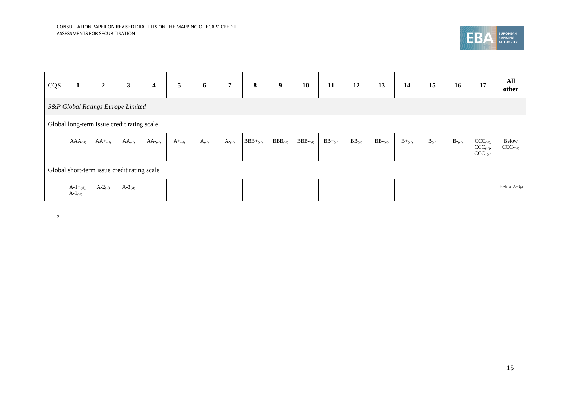**'**



| CQS |                               | $\mathbf{2}$ | 3                                           | 4                      | 5 <sup>5</sup> | 6          | $\overline{7}$        | 8             | $\boldsymbol{9}$ | 10             | 11           | 12          | 13                     | 14          | 15         | 16                           | 17                                                   | All<br>other                |
|-----|-------------------------------|--------------|---------------------------------------------|------------------------|----------------|------------|-----------------------|---------------|------------------|----------------|--------------|-------------|------------------------|-------------|------------|------------------------------|------------------------------------------------------|-----------------------------|
|     |                               |              | S&P Global Ratings Europe Limited           |                        |                |            |                       |               |                  |                |              |             |                        |             |            |                              |                                                      |                             |
|     |                               |              | Global long-term issue credit rating scale  |                        |                |            |                       |               |                  |                |              |             |                        |             |            |                              |                                                      |                             |
|     | $AAA_{(sf)}$                  | $AA+_{(sf)}$ | $AA_{(sf)}$                                 | $AA$ <sup>-</sup> (sf) | $A+_{(sf)}$    | $A_{(sf)}$ | $A_{\lnot{\rm (sf)}}$ | $BBB+_{(sf)}$ | $BBB_{(sf)}$     | $BBB$ - $(sf)$ | $BB+_{(sf)}$ | $BB_{(sf)}$ | $BB$ <sup>-</sup> (sf) | $B+_{(sf)}$ | $B_{(sf)}$ | $B_{\text{-}}_{\text{(sf)}}$ | $CCC_{(sf)}$<br>$CCC_{(sf)}$ ,<br>$CCC_{\text{csf}}$ | Below<br>$CCC_{\text{c}}$   |
|     |                               |              | Global short-term issue credit rating scale |                        |                |            |                       |               |                  |                |              |             |                        |             |            |                              |                                                      |                             |
|     | $A-1+_{(sf)}$<br>$A-1_{(sf)}$ | $A-2_{(sf)}$ | $A-3_{(sf)}$                                |                        |                |            |                       |               |                  |                |              |             |                        |             |            |                              |                                                      | Below $A-3$ <sub>(sf)</sub> |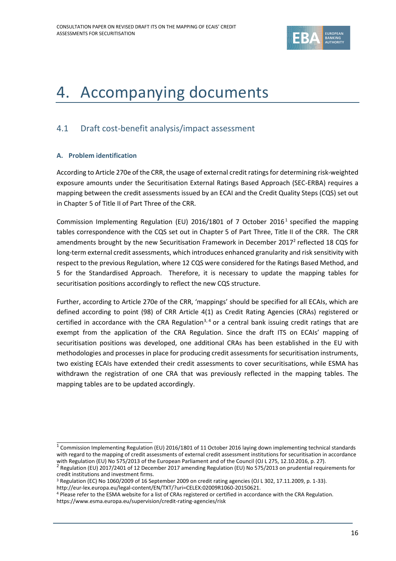

# 4. Accompanying documents

# 4.1 Draft cost-benefit analysis/impact assessment

#### **A. Problem identification**

According to Article 270e of the CRR, the usage of external credit ratings for determining risk-weighted exposure amounts under the Securitisation External Ratings Based Approach (SEC-ERBA) requires a mapping between the credit assessments issued by an ECAI and the Credit Quality Steps (CQS) set out in Chapter 5 of Title II of Part Three of the CRR.

Commission Implementing Regulation (EU) 2016/1801 of 7 October 2016<sup>1</sup> specified the mapping tables correspondence with the CQS set out in Chapter 5 of Part Three, Title II of the CRR. The CRR amendments brought by the new Securitisation Framework in December 2017<sup>2</sup> reflected 18 CQS for long-term external credit assessments, which introduces enhanced granularity and risk sensitivity with respect to the previous Regulation, where 12 CQS were considered for the Ratings Based Method, and 5 for the Standardised Approach. Therefore, it is necessary to update the mapping tables for securitisation positions accordingly to reflect the new CQS structure.

Further, according to Article 270e of the CRR, 'mappings' should be specified for all ECAIs, which are defined according to point (98) of CRR Article 4(1) as Credit Rating Agencies (CRAs) registered or certified in accordance with the CRA Regulation<sup>3, 4</sup> or a central bank issuing credit ratings that are exempt from the application of the CRA Regulation. Since the draft ITS on ECAIs' mapping of securitisation positions was developed, one additional CRAs has been established in the EU with methodologies and processes in place for producing credit assessments for securitisation instruments, two existing ECAIs have extended their credit assessments to cover securitisations, while ESMA has withdrawn the registration of one CRA that was previously reflected in the mapping tables. The mapping tables are to be updated accordingly.

<sup>&</sup>lt;sup>1</sup> Commission Implementing Regulation (EU) 2016/1801 of 11 October 2016 laying down implementing technical standards with regard to the mapping of credit assessments of external credit assessment institutions for securitisation in accordance with Regulation (EU) No 575/2013 of the European Parliament and of the Council (OJ L 275, 12.10.2016, p. 27).<br><sup>2</sup> Regulation (EU) 2017/2401 of 12 December 2017 amending Regulation (EU) No 575/2013 on prudential requirement

credit institutions and investment firms.

<sup>3</sup> Regulation (EC) No 1060/2009 of 16 September 2009 on credit rating agencies (OJ L 302, 17.11.2009, p. 1-33). [http://eur-lex.europa.eu/legal-content/EN/TXT/?uri=CELEX:02009R1060-20150621.](http://eur-lex.europa.eu/legal-content/EN/TXT/?uri=CELEX:02009R1060-20150621) 

<sup>4</sup> Please refer to the ESMA website for a list of CRAs registered or certified in accordance with the CRA Regulation. <https://www.esma.europa.eu/supervision/credit-rating-agencies/risk>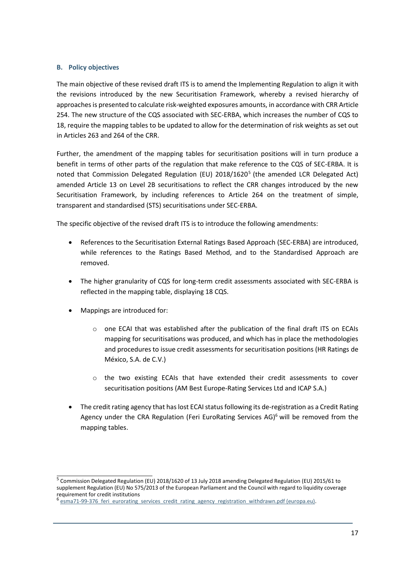#### **B. Policy objectives**

The main objective of these revised draft ITS is to amend the Implementing Regulation to align it with the revisions introduced by the new Securitisation Framework, whereby a revised hierarchy of approaches is presented to calculate risk-weighted exposures amounts, in accordance with CRR Article 254. The new structure of the CQS associated with SEC-ERBA, which increases the number of CQS to 18, require the mapping tables to be updated to allow for the determination of risk weights as set out in Articles 263 and 264 of the CRR.

Further, the amendment of the mapping tables for securitisation positions will in turn produce a benefit in terms of other parts of the regulation that make reference to the CQS of SEC-ERBA. It is noted that Commission Delegated Regulation (EU) 2018/1620<sup>5</sup> (the amended LCR Delegated Act) amended Article 13 on Level 2B securitisations to reflect the CRR changes introduced by the new Securitisation Framework, by including references to Article 264 on the treatment of simple, transparent and standardised (STS) securitisations under SEC-ERBA.

The specific objective of the revised draft ITS is to introduce the following amendments:

- References to the Securitisation External Ratings Based Approach (SEC-ERBA) are introduced, while references to the Ratings Based Method, and to the Standardised Approach are removed.
- The higher granularity of CQS for long-term credit assessments associated with SEC-ERBA is reflected in the mapping table, displaying 18 CQS.
- Mappings are introduced for:
	- $\circ$  one ECAI that was established after the publication of the final draft ITS on ECAIs mapping for securitisations was produced, and which has in place the methodologies and procedures to issue credit assessments for securitisation positions (HR Ratings de México, S.A. de C.V.)
	- o the two existing ECAIs that have extended their credit assessments to cover securitisation positions (AM Best Europe-Rating Services Ltd and ICAP S.A.)
- The credit rating agency that has lost ECAI status following its de-registration as a Credit Rating Agency under the CRA Regulation (Feri EuroRating Services AG)<sup>6</sup> will be removed from the mapping tables.

<sup>&</sup>lt;sup>5</sup> Commission Delegated Regulation (EU) 2018/1620 of 13 July 2018 amending Delegated Regulation (EU) 2015/61 to supplement Regulation (EU) No 575/2013 of the European Parliament and the Council with regard to liquidity coverage requirement for credit institutions<br><sup>6</sup> esma71-99-376, feri, eurorating

esma71-99-376 feri eurorating services credit rating agency registration withdrawn.pdf (europa.eu).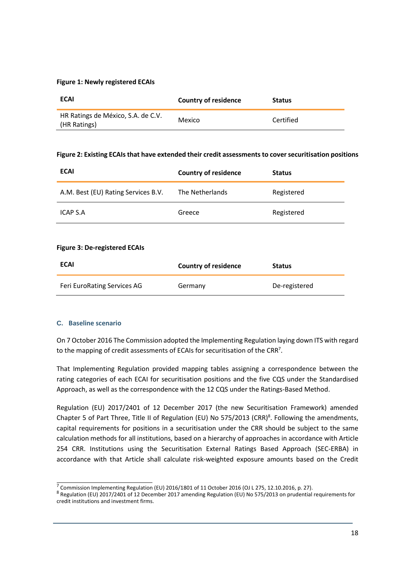#### **Figure 1: Newly registered ECAIs**

| <b>ECAI</b>                                        | Country of residence | <b>Status</b> |
|----------------------------------------------------|----------------------|---------------|
| HR Ratings de México, S.A. de C.V.<br>(HR Ratings) | Mexico               | Certified     |

#### **Figure 2: Existing ECAIs that have extended their credit assessments to cover securitisation positions**

| <b>ECAI</b>                         | <b>Country of residence</b> | <b>Status</b> |
|-------------------------------------|-----------------------------|---------------|
| A.M. Best (EU) Rating Services B.V. | The Netherlands             | Registered    |
| ICAP S.A                            | Greece                      | Registered    |

#### **Figure 3: De-registered ECAIs**

| <b>ECAI</b>                 | <b>Country of residence</b> | <b>Status</b> |
|-----------------------------|-----------------------------|---------------|
| Feri EuroRating Services AG | Germany                     | De-registered |

#### **C. Baseline scenario**

On 7 October 2016 The Commission adopted the Implementing Regulation laying down ITS with regard to the mapping of credit assessments of ECAIs for securitisation of the CRR<sup>7</sup>.

That Implementing Regulation provided mapping tables assigning a correspondence between the rating categories of each ECAI for securitisation positions and the five CQS under the Standardised Approach, as well as the correspondence with the 12 CQS under the Ratings-Based Method.

Regulation (EU) 2017/2401 of 12 December 2017 (the new Securitisation Framework) amended Chapter 5 of Part Three, Title II of Regulation (EU) No 575/2013 (CRR)<sup>8</sup>. Following the amendments, capital requirements for positions in a securitisation under the CRR should be subject to the same calculation methods for all institutions, based on a hierarchy of approaches in accordance with Article 254 CRR. Institutions using the Securitisation External Ratings Based Approach (SEC-ERBA) in accordance with that Article shall calculate risk-weighted exposure amounts based on the Credit

 $\frac{7}{2}$  Commission Implementing Regulation (EU) 2016/1801 of 11 October 2016 (OJ L 275, 12.10.2016, p. 27).

<sup>&</sup>lt;sup>8</sup> Regulation (EU) 2017/2401 of 12 December 2017 amending Regulation (EU) No 575/2013 on prudential requirements for credit institutions and investment firms.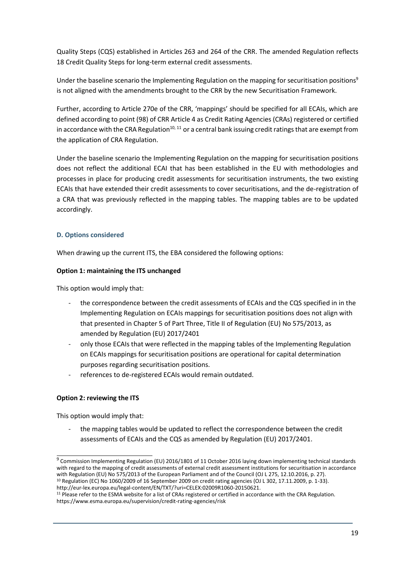Quality Steps (CQS) established in Articles 263 and 264 of the CRR. The amended Regulation reflects 18 Credit Quality Steps for long-term external credit assessments.

Under the baseline scenario the Implementing Regulation on the mapping for securitisation positions<sup>9</sup> is not aligned with the amendments brought to the CRR by the new Securitisation Framework.

Further, according to Article 270e of the CRR, 'mappings' should be specified for all ECAIs, which are defined according to point (98) of CRR Article 4 as Credit Rating Agencies (CRAs) registered or certified in accordance with the CRA Regulation<sup>10, 11</sup> or a central bank issuing credit ratings that are exempt from the application of CRA Regulation.

Under the baseline scenario the Implementing Regulation on the mapping for securitisation positions does not reflect the additional ECAI that has been established in the EU with methodologies and processes in place for producing credit assessments for securitisation instruments, the two existing ECAIs that have extended their credit assessments to cover securitisations, and the de-registration of a CRA that was previously reflected in the mapping tables. The mapping tables are to be updated accordingly.

### **D. Options considered**

When drawing up the current ITS, the EBA considered the following options:

#### **Option 1: maintaining the ITS unchanged**

This option would imply that:

- the correspondence between the credit assessments of ECAIs and the CQS specified in in the Implementing Regulation on ECAIs mappings for securitisation positions does not align with that presented in Chapter 5 of Part Three, Title II of Regulation (EU) No 575/2013, as amended by Regulation (EU) 2017/2401
- only those ECAIs that were reflected in the mapping tables of the Implementing Regulation on ECAIs mappings for securitisation positions are operational for capital determination purposes regarding securitisation positions.
- references to de-registered ECAIs would remain outdated.

#### **Option 2: reviewing the ITS**

This option would imply that:

the mapping tables would be updated to reflect the correspondence between the credit assessments of ECAIs and the CQS as amended by Regulation (EU) 2017/2401.

<sup>&</sup>lt;sup>9</sup> Commission Implementing Regulation (EU) 2016/1801 of 11 October 2016 laying down implementing technical standards with regard to the mapping of credit assessments of external credit assessment institutions for securitisation in accordance with Regulation (EU) No 575/2013 of the European Parliament and of the Council (OJ L 275, 12.10.2016, p. 27). <sup>10</sup> Regulation (EC) No 1060/2009 of 16 September 2009 on credit rating agencies (OJ L 302, 17.11.2009, p. 1-33).

[http://eur-lex.europa.eu/legal-content/EN/TXT/?uri=CELEX:02009R1060-20150621.](http://eur-lex.europa.eu/legal-content/EN/TXT/?uri=CELEX:02009R1060-20150621) 

<sup>&</sup>lt;sup>11</sup> Please refer to the ESMA website for a list of CRAs registered or certified in accordance with the CRA Regulation. <https://www.esma.europa.eu/supervision/credit-rating-agencies/risk>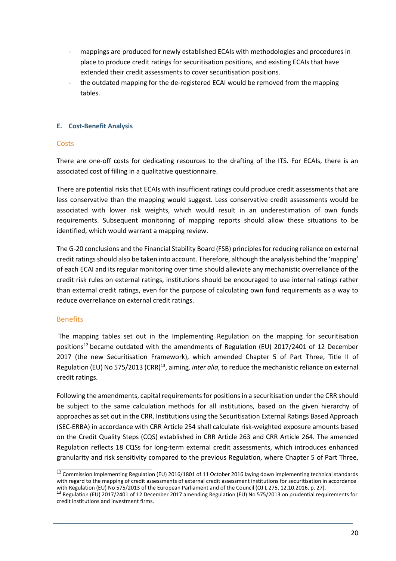- mappings are produced for newly established ECAIs with methodologies and procedures in place to produce credit ratings for securitisation positions, and existing ECAIs that have extended their credit assessments to cover securitisation positions.
- the outdated mapping for the de-registered ECAI would be removed from the mapping tables.

#### **E. Cost-Benefit Analysis**

### **Costs**

There are one-off costs for dedicating resources to the drafting of the ITS. For ECAIs, there is an associated cost of filling in a qualitative questionnaire.

There are potential risks that ECAIs with insufficient ratings could produce credit assessments that are less conservative than the mapping would suggest. Less conservative credit assessments would be associated with lower risk weights, which would result in an underestimation of own funds requirements. Subsequent monitoring of mapping reports should allow these situations to be identified, which would warrant a mapping review.

The G-20 conclusions and the Financial Stability Board (FSB) principles for reducing reliance on external credit ratings should also be taken into account. Therefore, although the analysis behind the 'mapping' of each ECAI and its regular monitoring over time should alleviate any mechanistic overreliance of the credit risk rules on external ratings, institutions should be encouraged to use internal ratings rather than external credit ratings, even for the purpose of calculating own fund requirements as a way to reduce overreliance on external credit ratings.

## Benefits

The mapping tables set out in the Implementing Regulation on the mapping for securitisation positions<sup>12</sup> became outdated with the amendments of Regulation (EU) 2017/2401 of 12 December 2017 (the new Securitisation Framework), which amended Chapter 5 of Part Three, Title II of Regulation (EU) No 575/2013 (CRR)<sup>13</sup>, aiming*, inter alia*, to reduce the mechanistic reliance on external credit ratings.

Following the amendments, capital requirements for positions in a securitisation under the CRR should be subject to the same calculation methods for all institutions, based on the given hierarchy of approaches as set out in the CRR. Institutions using the Securitisation External Ratings Based Approach (SEC-ERBA) in accordance with CRR Article 254 shall calculate risk-weighted exposure amounts based on the Credit Quality Steps (CQS) established in CRR Article 263 and CRR Article 264. The amended Regulation reflects 18 CQSs for long-term external credit assessments, which introduces enhanced granularity and risk sensitivity compared to the previous Regulation, where Chapter 5 of Part Three,

<sup>&</sup>lt;sup>12</sup> Commission Implementing Regulation (EU) 2016/1801 of 11 October 2016 laying down implementing technical standards with regard to the mapping of credit assessments of external credit assessment institutions for securitisation in accordance

with Regulation (EU) No 575/2013 of the European Parliament and of the Council (OJ L 275, 12.10.2016, p. 27).<br><sup>13</sup> Regulation (EU) 2017/2401 of 12 December 2017 amending Regulation (EU) No 575/2013 on prudential requiremen credit institutions and investment firms.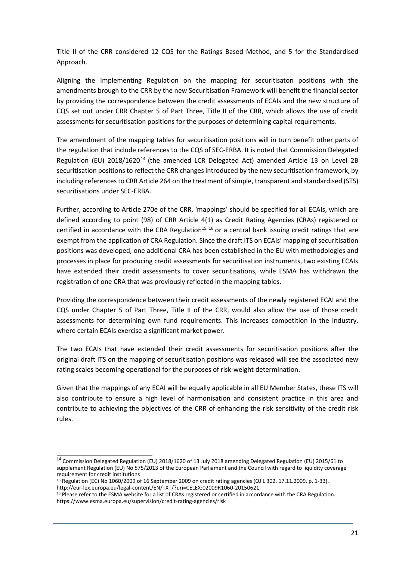Title II of the CRR considered 12 CQS for the Ratings Based Method, and 5 for the Standardised Approach.

Aligning the Implementing Regulation on the mapping for securitisaton positions with the amendments brough to the CRR by the new Securitisation Framework will benefit the financial sector by providing the correspondence between the credit assessments of ECAIs and the new structure of CQS set out under CRR Chapter 5 of Part Three, Title II of the CRR, which allows the use of credit assessments for securitisation positions for the purposes of determining capital requirements.

The amendment of the mapping tables for securitisation positions will in turn benefit other parts of the regulation that include references to the CQS of SEC-ERBA. It is noted that Commission Delegated Regulation (EU) 2018/1620<sup>14</sup> (the amended LCR Delegated Act) amended Article 13 on Level 2B securitisation positions to reflect the CRR changes introduced by the new securitisation framework, by including references to CRR Article 264 on the treatment of simple, transparent and standardised (STS) securitisations under SEC-ERBA.

Further, according to Article 270e of the CRR, 'mappings' should be specified for all ECAIs, which are defined according to point (98) of CRR Article 4(1) as Credit Rating Agencies (CRAs) registered or certified in accordance with the CRA Regulation<sup>15, 16</sup> or a central bank issuing credit ratings that are exempt from the application of CRA Regulation. Since the draft ITS on ECAIs' mapping of securitisation positions was developed, one additional CRA has been established in the EU with methodologies and processes in place for producing credit assessments for securitisation instruments, two existing ECAIs have extended their credit assessments to cover securitisations, while ESMA has withdrawn the registration of one CRA that was previously reflected in the mapping tables.

Providing the correspondence between their credit assessments of the newly registered ECAI and the CQS under Chapter 5 of Part Three, Title II of the CRR, would also allow the use of those credit assessments for determining own fund requirements. This increases competition in the industry, where certain ECAIs exercise a significant market power.

The two ECAIs that have extended their credit assessments for securitisation positions after the original draft ITS on the mapping of securitisation positions was released will see the associated new rating scales becoming operational for the purposes of risk-weight determination.

Given that the mappings of any ECAI will be equally applicable in all EU Member States, these ITS will also contribute to ensure a high level of harmonisation and consistent practice in this area and contribute to achieving the objectives of the CRR of enhancing the risk sensitivity of the credit risk rules.

<sup>14</sup> Commission Delegated Regulation (EU) 2018/1620 of 13 July 2018 amending Delegated Regulation (EU) 2015/61 to supplement Regulation (EU) No 575/2013 of the European Parliament and the Council with regard to liquidity coverage requirement for credit institutions

<sup>15</sup> Regulation (EC) No 1060/2009 of 16 September 2009 on credit rating agencies (OJ L 302, 17.11.2009, p. 1-33). [http://eur-lex.europa.eu/legal-content/EN/TXT/?uri=CELEX:02009R1060-20150621.](http://eur-lex.europa.eu/legal-content/EN/TXT/?uri=CELEX:02009R1060-20150621) 

<sup>&</sup>lt;sup>16</sup> Please refer to the ESMA website for a list of CRAs registered or certified in accordance with the CRA Regulation. <https://www.esma.europa.eu/supervision/credit-rating-agencies/risk>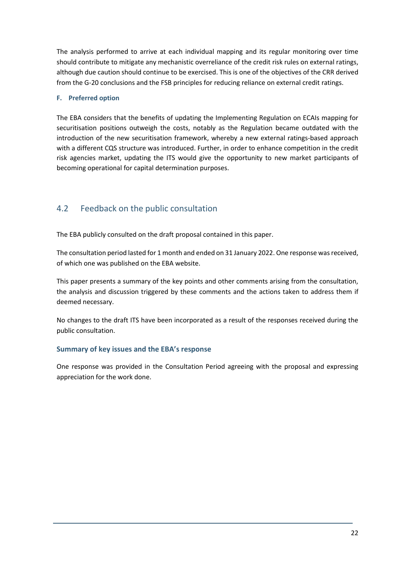The analysis performed to arrive at each individual mapping and its regular monitoring over time should contribute to mitigate any mechanistic overreliance of the credit risk rules on external ratings, although due caution should continue to be exercised. This is one of the objectives of the CRR derived from the G-20 conclusions and the FSB principles for reducing reliance on external credit ratings.

### **F. Preferred option**

The EBA considers that the benefits of updating the Implementing Regulation on ECAIs mapping for securitisation positions outweigh the costs, notably as the Regulation became outdated with the introduction of the new securitisation framework, whereby a new external ratings-based approach with a different CQS structure was introduced. Further, in order to enhance competition in the credit risk agencies market, updating the ITS would give the opportunity to new market participants of becoming operational for capital determination purposes.

# 4.2 Feedback on the public consultation

The EBA publicly consulted on the draft proposal contained in this paper.

The consultation period lasted for 1 month and ended on 31 January 2022. One response wasreceived, of which one was published on the EBA website.

This paper presents a summary of the key points and other comments arising from the consultation, the analysis and discussion triggered by these comments and the actions taken to address them if deemed necessary.

No changes to the draft ITS have been incorporated as a result of the responses received during the public consultation.

## **Summary of key issues and the EBA's response**

One response was provided in the Consultation Period agreeing with the proposal and expressing appreciation for the work done.